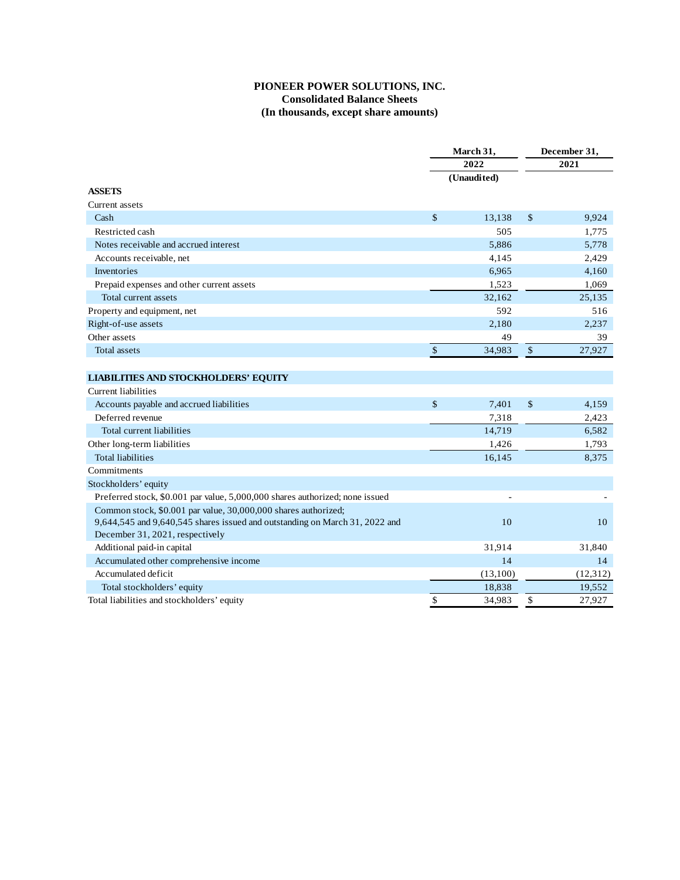## **PIONEER POWER SOLUTIONS, INC. Consolidated Balance Sheets (In thousands, except share amounts)**

|                                                                              | March 31,<br>2022 |          | December 31,<br>2021 |           |
|------------------------------------------------------------------------------|-------------------|----------|----------------------|-----------|
|                                                                              |                   |          |                      |           |
|                                                                              | (Unaudited)       |          |                      |           |
| <b>ASSETS</b>                                                                |                   |          |                      |           |
| Current assets                                                               |                   |          |                      |           |
| Cash                                                                         | \$                | 13,138   | \$                   | 9,924     |
| Restricted cash                                                              |                   | 505      |                      | 1,775     |
| Notes receivable and accrued interest                                        |                   | 5,886    |                      | 5,778     |
| Accounts receivable, net                                                     |                   | 4,145    |                      | 2,429     |
| Inventories                                                                  |                   | 6,965    |                      | 4,160     |
| Prepaid expenses and other current assets                                    |                   | 1,523    |                      | 1,069     |
| Total current assets                                                         |                   | 32,162   |                      | 25,135    |
| Property and equipment, net                                                  |                   | 592      |                      | 516       |
| Right-of-use assets                                                          |                   | 2,180    |                      | 2,237     |
| Other assets                                                                 |                   | 49       |                      | 39        |
| Total assets                                                                 | $\mathbb{S}$      | 34,983   | \$                   | 27,927    |
|                                                                              |                   |          |                      |           |
| LIABILITIES AND STOCKHOLDERS' EQUITY                                         |                   |          |                      |           |
| Current liabilities                                                          |                   |          |                      |           |
| Accounts payable and accrued liabilities                                     | \$                | 7,401    | \$                   | 4,159     |
| Deferred revenue                                                             |                   | 7,318    |                      | 2,423     |
| Total current liabilities                                                    |                   | 14,719   |                      | 6,582     |
| Other long-term liabilities                                                  |                   | 1,426    |                      | 1,793     |
| <b>Total liabilities</b>                                                     |                   | 16,145   |                      | 8,375     |
| Commitments                                                                  |                   |          |                      |           |
| Stockholders' equity                                                         |                   |          |                      |           |
| Preferred stock, \$0.001 par value, 5,000,000 shares authorized; none issued |                   |          |                      |           |
| Common stock, \$0.001 par value, 30,000,000 shares authorized;               |                   |          |                      |           |
| 9,644,545 and 9,640,545 shares issued and outstanding on March 31, 2022 and  |                   | 10       |                      | 10        |
| December 31, 2021, respectively                                              |                   |          |                      |           |
| Additional paid-in capital                                                   |                   | 31,914   |                      | 31,840    |
| Accumulated other comprehensive income                                       |                   | 14       |                      | 14        |
| Accumulated deficit                                                          |                   | (13,100) |                      | (12, 312) |
| Total stockholders' equity                                                   |                   | 18,838   |                      | 19,552    |
| Total liabilities and stockholders' equity                                   | \$                | 34,983   | \$                   | 27,927    |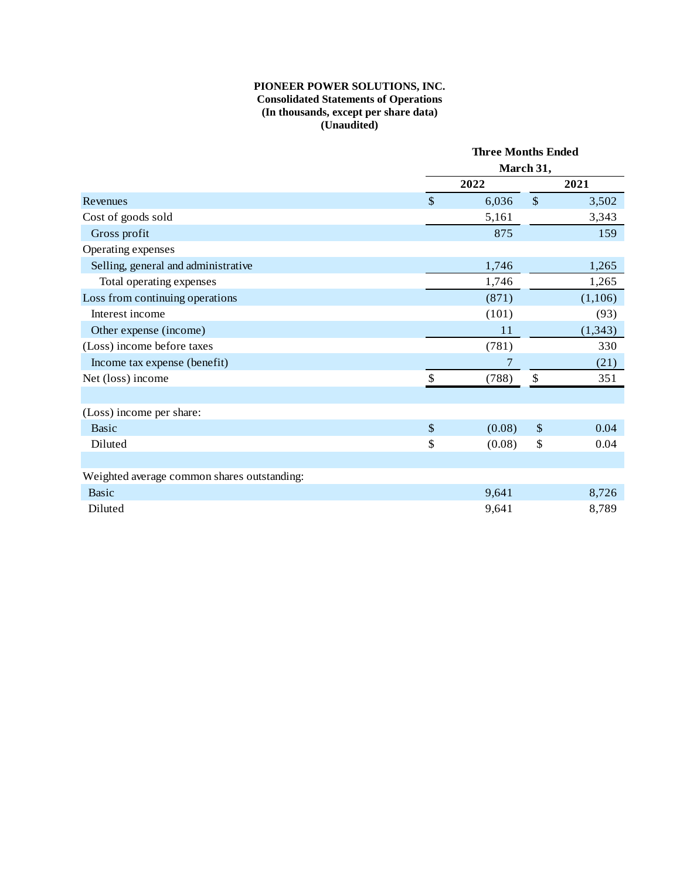## **PIONEER POWER SOLUTIONS, INC. Consolidated Statements of Operations (In thousands, except per share data) (Unaudited)**

|                                             |                           | <b>Three Months Ended</b><br>March 31, |               |          |  |
|---------------------------------------------|---------------------------|----------------------------------------|---------------|----------|--|
|                                             |                           |                                        |               |          |  |
|                                             |                           | 2022                                   |               | 2021     |  |
| Revenues                                    | $\boldsymbol{\mathsf{S}}$ | 6,036                                  | $\mathcal{S}$ | 3,502    |  |
| Cost of goods sold                          |                           | 5,161                                  |               | 3,343    |  |
| Gross profit                                |                           | 875                                    |               | 159      |  |
| Operating expenses                          |                           |                                        |               |          |  |
| Selling, general and administrative         |                           | 1,746                                  |               | 1,265    |  |
| Total operating expenses                    |                           | 1,746                                  |               | 1,265    |  |
| Loss from continuing operations             |                           | (871)                                  |               | (1,106)  |  |
| Interest income                             |                           | (101)                                  |               | (93)     |  |
| Other expense (income)                      |                           | 11                                     |               | (1, 343) |  |
| (Loss) income before taxes                  |                           | (781)                                  |               | 330      |  |
| Income tax expense (benefit)                |                           | 7                                      |               | (21)     |  |
| Net (loss) income                           | \$                        | (788)                                  | \$            | 351      |  |
|                                             |                           |                                        |               |          |  |
| (Loss) income per share:                    |                           |                                        |               |          |  |
| <b>Basic</b>                                | $\sqrt$                   | (0.08)                                 | \$            | 0.04     |  |
| Diluted                                     | \$                        | (0.08)                                 | \$            | 0.04     |  |
|                                             |                           |                                        |               |          |  |
| Weighted average common shares outstanding: |                           |                                        |               |          |  |
| <b>Basic</b>                                |                           | 9,641                                  |               | 8,726    |  |
| Diluted                                     |                           | 9,641                                  |               | 8,789    |  |